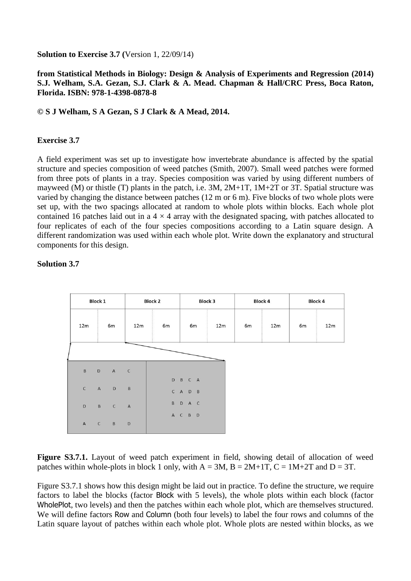**Solution to Exercise 3.7 (**Version 1, 22/09/14)

## **from Statistical Methods in Biology: Design & Analysis of Experiments and Regression (2014) S.J. Welham, S.A. Gezan, S.J. Clark & A. Mead. Chapman & Hall/CRC Press, Boca Raton, Florida. ISBN: 978-1-4398-0878-8**

## **© S J Welham, S A Gezan, S J Clark & A Mead, 2014.**

## **Exercise 3.7**

A field experiment was set up to investigate how invertebrate abundance is affected by the spatial structure and species composition of weed patches (Smith, 2007). Small weed patches were formed from three pots of plants in a tray. Species composition was varied by using different numbers of mayweed (M) or thistle (T) plants in the patch, i.e. 3M, 2M+1T, 1M+2T or 3T. Spatial structure was varied by changing the distance between patches (12 m or 6 m). Five blocks of two whole plots were set up, with the two spacings allocated at random to whole plots within blocks. Each whole plot contained 16 patches laid out in a  $4 \times 4$  array with the designated spacing, with patches allocated to four replicates of each of the four species compositions according to a Latin square design. A different randomization was used within each whole plot. Write down the explanatory and structural components for this design.



## **Solution 3.7**

**Figure S3.7.1.** Layout of weed patch experiment in field, showing detail of allocation of weed patches within whole-plots in block 1 only, with  $A = 3M$ ,  $B = 2M+1T$ ,  $C = 1M+2T$  and  $D = 3T$ .

Figure S3.7.1 shows how this design might be laid out in practice. To define the structure, we require factors to label the blocks (factor Block with 5 levels), the whole plots within each block (factor WholePlot, two levels) and then the patches within each whole plot, which are themselves structured. We will define factors Row and Column (both four levels) to label the four rows and columns of the Latin square layout of patches within each whole plot. Whole plots are nested within blocks, as we